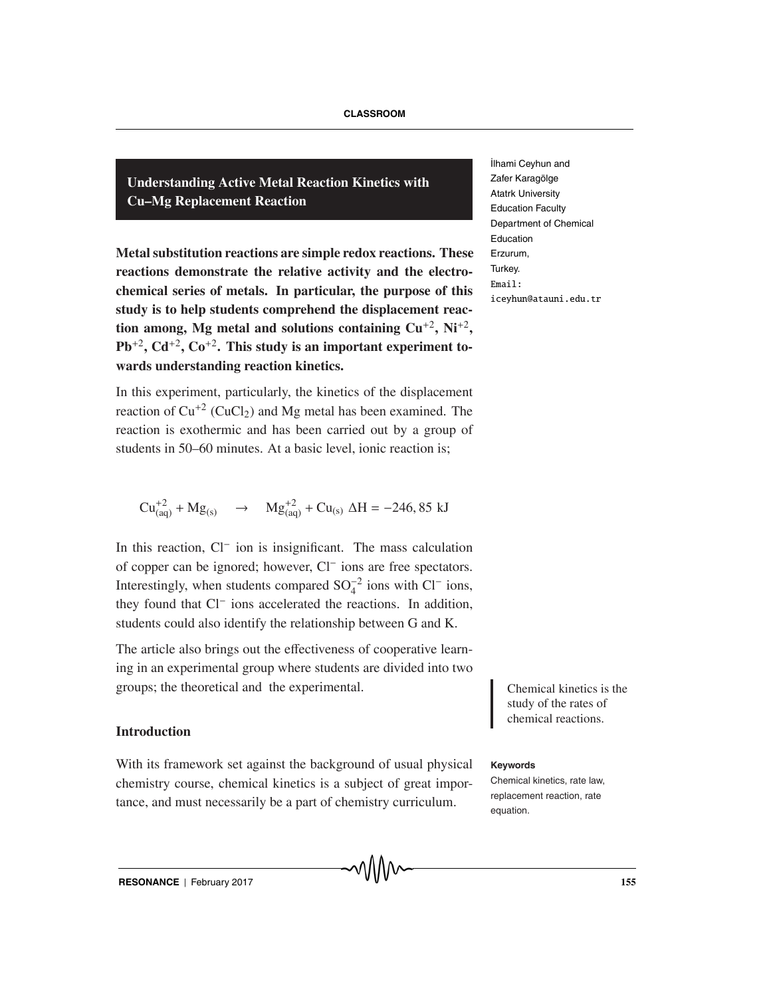**Understanding Active Metal Reaction Kinetics with Cu–Mg Replacement Reaction**

**Metal substitution reactions are simple redox reactions. These reactions demonstrate the relative activity and the electrochemical series of metals. In particular, the purpose of this study is to help students comprehend the displacement reaction among, Mg metal and solutions containing Cu**+2**, Ni**+2**,**  $Pb^{+2}$ ,  $Cd^{+2}$ ,  $Co^{+2}$ . This study is an important experiment to**wards understanding reaction kinetics.**

In this experiment, particularly, the kinetics of the displacement reaction of  $Cu^{2}$  (CuCl<sub>2</sub>) and Mg metal has been examined. The reaction is exothermic and has been carried out by a group of students in 50–60 minutes. At a basic level, ionic reaction is;

 $Cu_{(aq)}^{+2} + Mg_{(s)} \rightarrow Mg_{(aq)}^{+2} + Cu_{(s)} \Delta H = -246,85 \text{ kJ}$ 

In this reaction, Cl− ion is insignificant. The mass calculation of copper can be ignored; however, Cl− ions are free spectators. Interestingly, when students compared  $SO_4^{-2}$  ions with  $Cl^-$  ions, they found that Cl− ions accelerated the reactions. In addition, students could also identify the relationship between G and K.

The article also brings out the effectiveness of cooperative learning in an experimental group where students are divided into two groups; the theoretical and the experimental. Chemical kinetics is the

### **Introduction**

With its framework set against the background of usual physical **Keywords** chemistry course, chemical kinetics is a subject of great importance, and must necessarily be a part of chemistry curriculum.

˙Ilhami Ceyhun and Zafer Karagölge Atatrk University Education Faculty Department of Chemical Education Erzurum, Turkey. Email: iceyhun@atauni.edu.tr

> study of the rates of chemical reactions.

Chemical kinetics, rate law, replacement reaction, rate equation.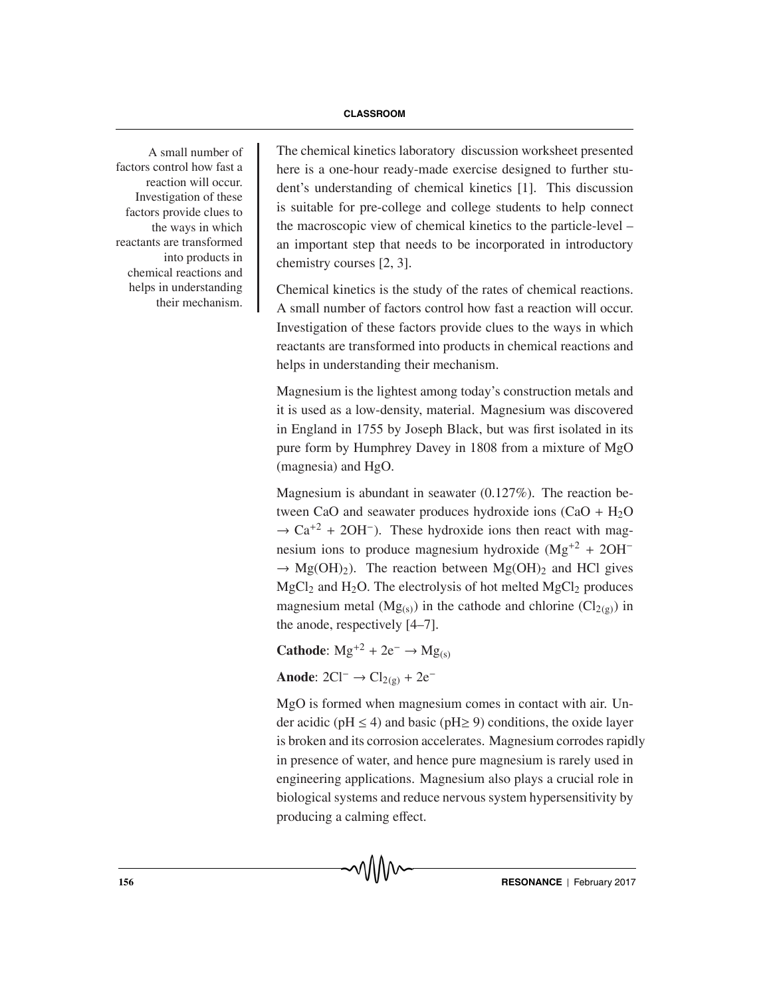factors control how fast a reaction will occur. Investigation of these factors provide clues to the ways in which reactants are transformed into products in chemical reactions and helps in understanding their mechanism.

A small number of The chemical kinetics laboratory discussion worksheet presented here is a one-hour ready-made exercise designed to further student's understanding of chemical kinetics [1]. This discussion is suitable for pre-college and college students to help connect the macroscopic view of chemical kinetics to the particle-level – an important step that needs to be incorporated in introductory chemistry courses [2, 3].

> Chemical kinetics is the study of the rates of chemical reactions. A small number of factors control how fast a reaction will occur. Investigation of these factors provide clues to the ways in which reactants are transformed into products in chemical reactions and helps in understanding their mechanism.

> Magnesium is the lightest among today's construction metals and it is used as a low-density, material. Magnesium was discovered in England in 1755 by Joseph Black, but was first isolated in its pure form by Humphrey Davey in 1808 from a mixture of MgO (magnesia) and HgO.

> Magnesium is abundant in seawater (0.127%). The reaction between CaO and seawater produces hydroxide ions  $(CaO + H<sub>2</sub>O)$  $\rightarrow$  Ca<sup>+2</sup> + 2OH<sup>-</sup>). These hydroxide ions then react with magnesium ions to produce magnesium hydroxide (Mg<sup>+2</sup> + 2OH<sup>-</sup>  $\rightarrow$  Mg(OH)<sub>2</sub>). The reaction between Mg(OH)<sub>2</sub> and HCl gives  $MgCl<sub>2</sub>$  and H<sub>2</sub>O. The electrolysis of hot melted MgCl<sub>2</sub> produces magnesium metal ( $Mg(s)$ ) in the cathode and chlorine ( $Cl_{2(g)}$ ) in the anode, respectively [4–7].

**Cathode:**  $Mg^{+2} + 2e^{-} \rightarrow Mg(s)$ 

Anode:  $2Cl^-$  →  $Cl_{2(g)}$  +  $2e^-$ 

MgO is formed when magnesium comes in contact with air. Under acidic (pH  $\leq$  4) and basic (pH $\geq$  9) conditions, the oxide layer is broken and its corrosion accelerates. Magnesium corrodes rapidly in presence of water, and hence pure magnesium is rarely used in engineering applications. Magnesium also plays a crucial role in biological systems and reduce nervous system hypersensitivity by producing a calming effect.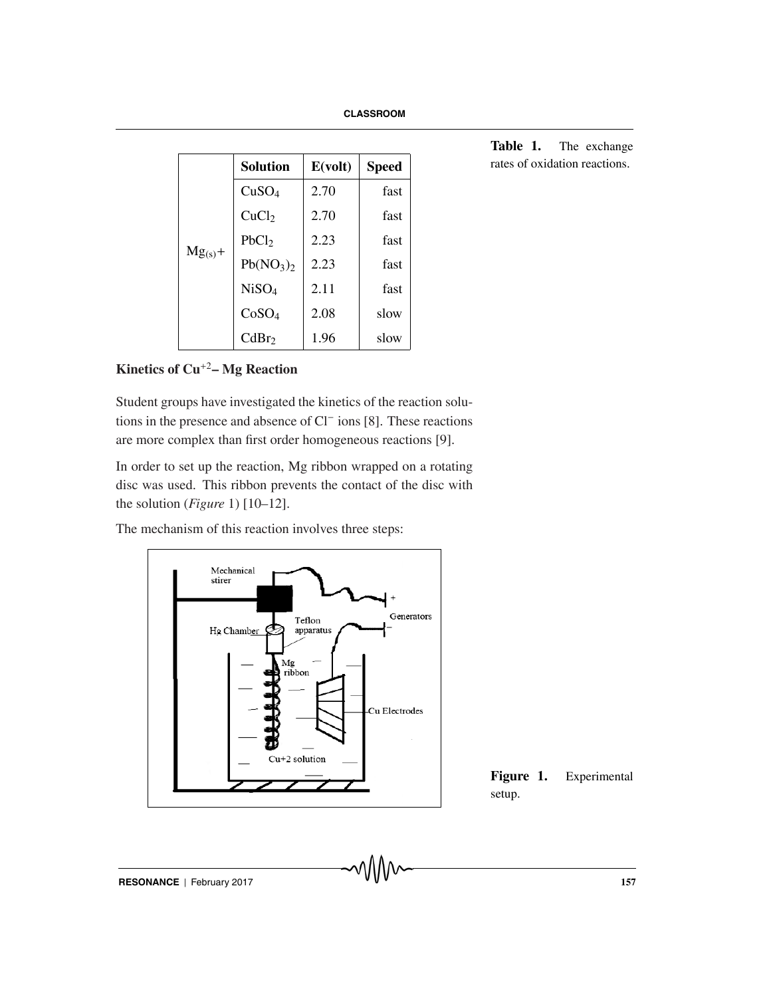| $Mg_{(s)}+$ | <b>Solution</b>                   | E(volt) | <b>Speed</b> |
|-------------|-----------------------------------|---------|--------------|
|             | CuSO <sub>4</sub>                 | 2.70    | fast         |
|             | CuCl <sub>2</sub>                 | 2.70    | fast         |
|             | PbCl <sub>2</sub>                 | 2.23    | fast         |
|             | Pb(NO <sub>3</sub> ) <sub>2</sub> | 2.23    | fast         |
|             | NiSO <sub>4</sub>                 | 2.11    | fast         |
|             | CoSO <sub>4</sub>                 | 2.08    | slow         |
|             | CdBr <sub>2</sub>                 | 1.96    | slow         |

**Table 1.** The exchange rates of oxidation reactions.

# **Kinetics of Cu**<sup>+</sup><sup>2</sup>**– Mg Reaction**

Student groups have investigated the kinetics of the reaction solutions in the presence and absence of Cl− ions [8]. These reactions are more complex than first order homogeneous reactions [9].

In order to set up the reaction, Mg ribbon wrapped on a rotating disc was used. This ribbon prevents the contact of the disc with the solution (*Figure* 1) [10–12].

The mechanism of this reaction involves three steps:



**Figure 1.** Experimental setup.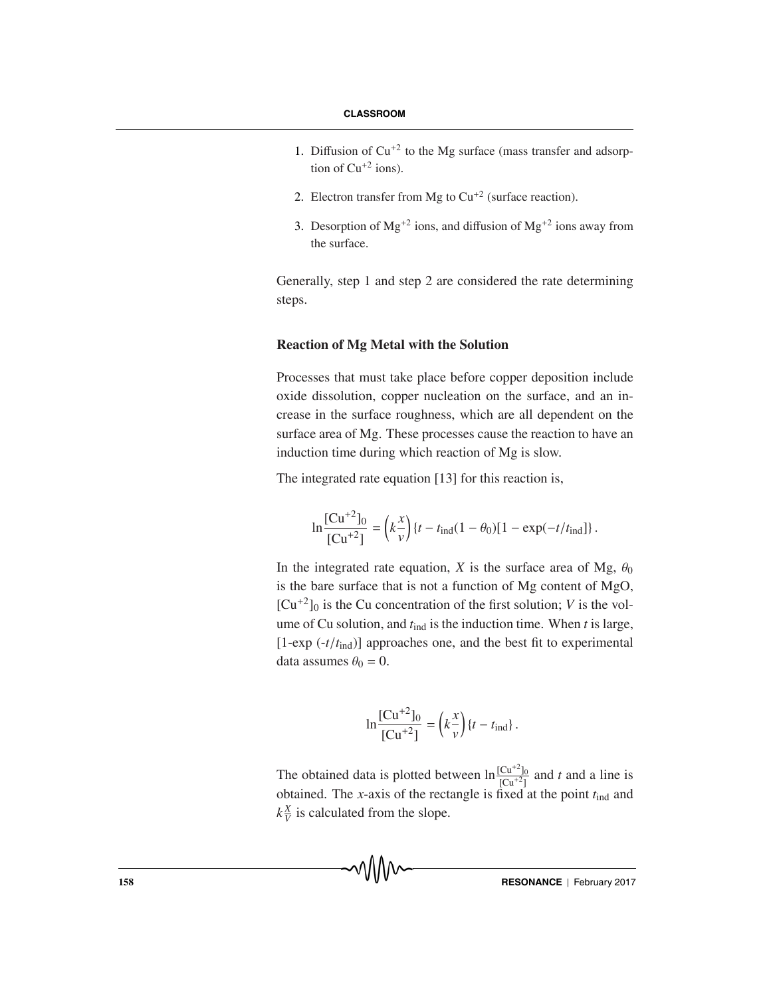- 1. Diffusion of  $Cu^{+2}$  to the Mg surface (mass transfer and adsorption of  $Cu^{+2}$  ions).
- 2. Electron transfer from Mg to  $Cu^{+2}$  (surface reaction).
- 3. Desorption of  $Mg^{+2}$  ions, and diffusion of  $Mg^{+2}$  ions away from the surface.

Generally, step 1 and step 2 are considered the rate determining steps.

### **Reaction of Mg Metal with the Solution**

Processes that must take place before copper deposition include oxide dissolution, copper nucleation on the surface, and an increase in the surface roughness, which are all dependent on the surface area of Mg. These processes cause the reaction to have an induction time during which reaction of Mg is slow.

The integrated rate equation [13] for this reaction is,

$$
\ln \frac{[\text{Cu}^{+2}]_0}{[\text{Cu}^{+2}]} = \left(k \frac{x}{v}\right) \{t - t_{\text{ind}}(1 - \theta_0)[1 - \exp(-t/t_{\text{ind}})]\}.
$$

In the integrated rate equation, *X* is the surface area of Mg,  $\theta_0$ is the bare surface that is not a function of Mg content of MgO,  $[Cu^{+2}]_0$  is the Cu concentration of the first solution; *V* is the volume of Cu solution, and *t*ind is the induction time. When *t* is large,  $[1-exp(-t/t_{ind})]$  approaches one, and the best fit to experimental data assumes  $\theta_0 = 0$ .

$$
\ln \frac{[Cu^{+2}]_0}{[Cu^{+2}]} = \left(k \frac{x}{v}\right) \{t - t_{\text{ind}}\}.
$$

The obtained data is plotted between  $\ln \frac{[Cu^{+2}]_0}{[Cu^{+2}]_0}$  and *t* and a line is obtained. The *x*-axis of the rectangle is fixed at the point  $t_{\text{ind}}$  and  $k\frac{X}{V}$  is calculated from the slope.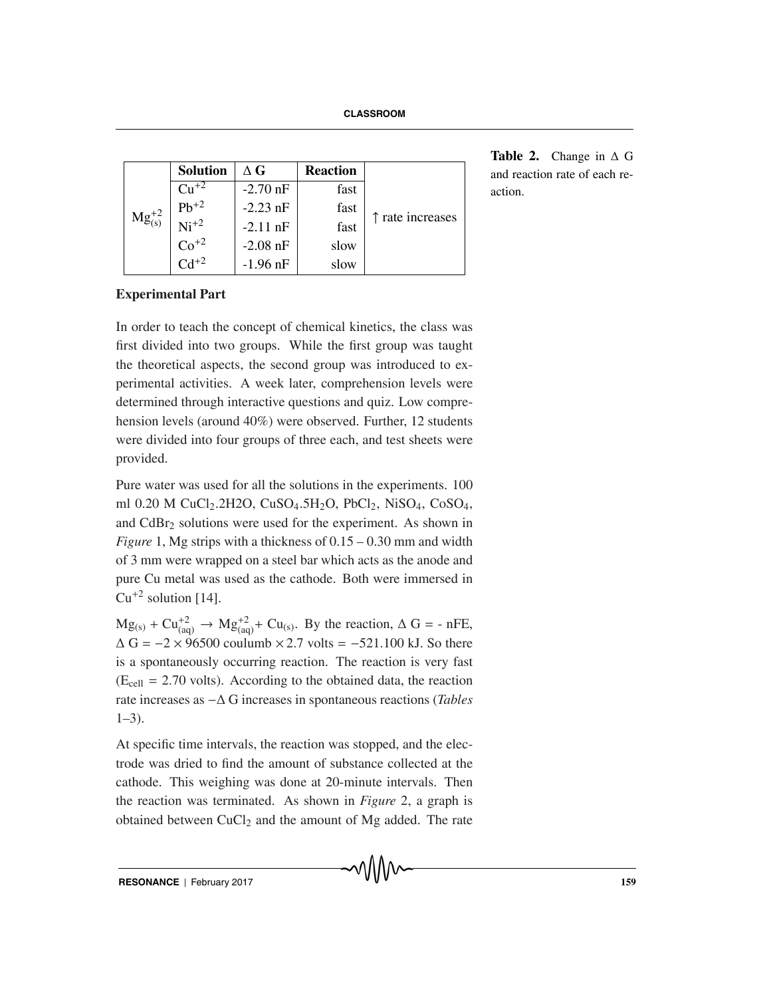| $Mg_{(s)}^{+2}$ | <b>Solution</b>               | $\wedge$ G | <b>Reaction</b> | ↑ rate increases |
|-----------------|-------------------------------|------------|-----------------|------------------|
|                 | $\gamma_{11}+2$               | $-2.70$ nF | fast            |                  |
|                 | $Pb^{+2}$<br>Ni <sup>+2</sup> | $-2.23$ nF | fast            |                  |
|                 |                               | $-2.11$ nF | fast            |                  |
|                 | $\overline{\text{Co}^{+2}}$   | $-2.08$ nF | slow            |                  |
|                 | $\overline{C}$ <sup>+2</sup>  | $-1.96$ nF | slow            |                  |

**Table 2.** Change in Δ G and reaction rate of each reaction.

# **Experimental Part**

In order to teach the concept of chemical kinetics, the class was first divided into two groups. While the first group was taught the theoretical aspects, the second group was introduced to experimental activities. A week later, comprehension levels were determined through interactive questions and quiz. Low comprehension levels (around 40%) were observed. Further, 12 students were divided into four groups of three each, and test sheets were provided.

Pure water was used for all the solutions in the experiments. 100 ml 0.20 M CuCl<sub>2</sub>.2H2O, CuSO<sub>4</sub>.5H<sub>2</sub>O, PbCl<sub>2</sub>, NiSO<sub>4</sub>, CoSO<sub>4</sub>, and CdBr<sub>2</sub> solutions were used for the experiment. As shown in *Figure* 1, Mg strips with a thickness of 0.15 – 0.30 mm and width of 3 mm were wrapped on a steel bar which acts as the anode and pure Cu metal was used as the cathode. Both were immersed in  $Cu^{+2}$  solution [14].

 $Mg_{(s)} + Cu_{(aq)}^{+2} \rightarrow Mg_{(aq)}^{+2} + Cu_{(s)}$ . By the reaction,  $\Delta G = -nFE$ ,  $\Delta G = -2 \times 96500$  coulumb  $\times 2.7$  volts = -521.100 kJ. So there is a spontaneously occurring reaction. The reaction is very fast  $(E_{cell} = 2.70$  volts). According to the obtained data, the reaction rate increases as −Δ G increases in spontaneous reactions (*Tables*  $1-3$ ).

At specific time intervals, the reaction was stopped, and the electrode was dried to find the amount of substance collected at the cathode. This weighing was done at 20-minute intervals. Then the reaction was terminated. As shown in *Figure* 2, a graph is obtained between  $CuCl<sub>2</sub>$  and the amount of Mg added. The rate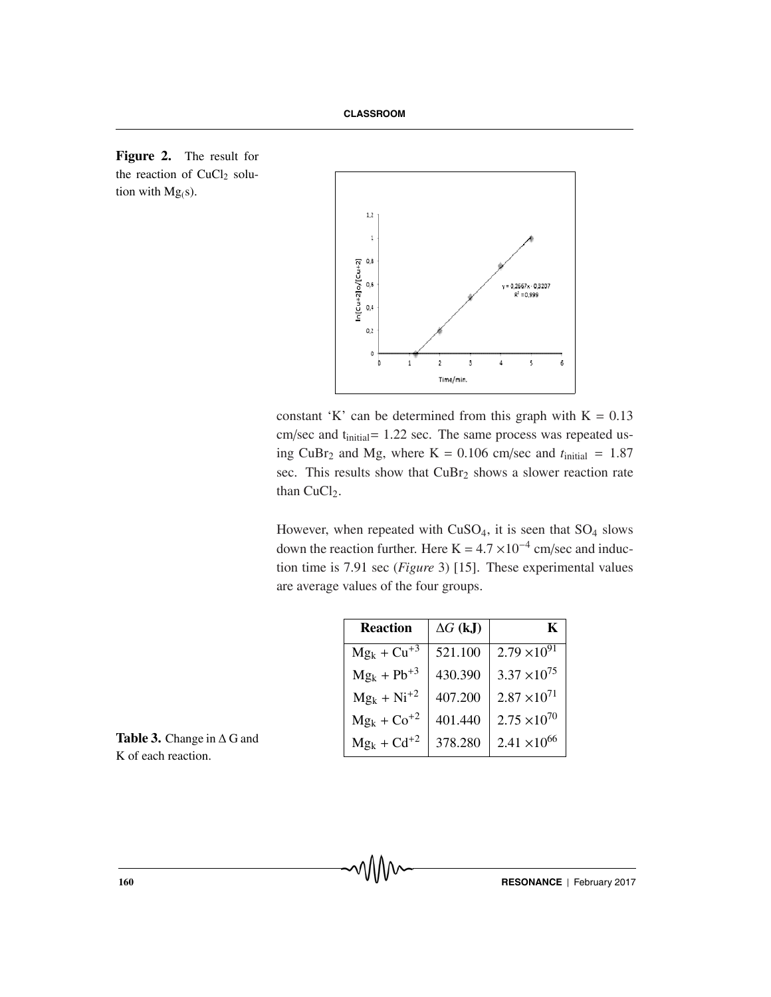



constant 'K' can be determined from this graph with  $K = 0.13$ cm/sec and t<sub>initial</sub>= 1.22 sec. The same process was repeated using CuBr<sub>2</sub> and Mg, where K = 0.106 cm/sec and  $t<sub>initial</sub> = 1.87$ sec. This results show that CuBr<sub>2</sub> shows a slower reaction rate than CuCl<sub>2</sub>.

However, when repeated with  $CuSO<sub>4</sub>$ , it is seen that  $SO<sub>4</sub>$  slows down the reaction further. Here K =  $4.7 \times 10^{-4}$  cm/sec and induction time is 7.91 sec (*Figure* 3) [15]. These experimental values are average values of the four groups.

| <b>Reaction</b>  | $\Delta G$ (kJ) | K                     |
|------------------|-----------------|-----------------------|
| $Mg_k + Cu^{+3}$ | 521.100         | $2.79 \times 10^{91}$ |
| $Mg_k + Pb^{+3}$ | 430.390         | $3.37 \times 10^{75}$ |
| $Mg_k + Ni^{+2}$ | 407.200         | $2.87 \times 10^{71}$ |
| $Mg_k + Co^{+2}$ | 401.440         | $2.75 \times 10^{70}$ |
| $Mg_k + Cd^{+2}$ | 378.280         | $2.41 \times 10^{66}$ |

**Table 3.** Change in  $\Delta$  G and K of each reaction.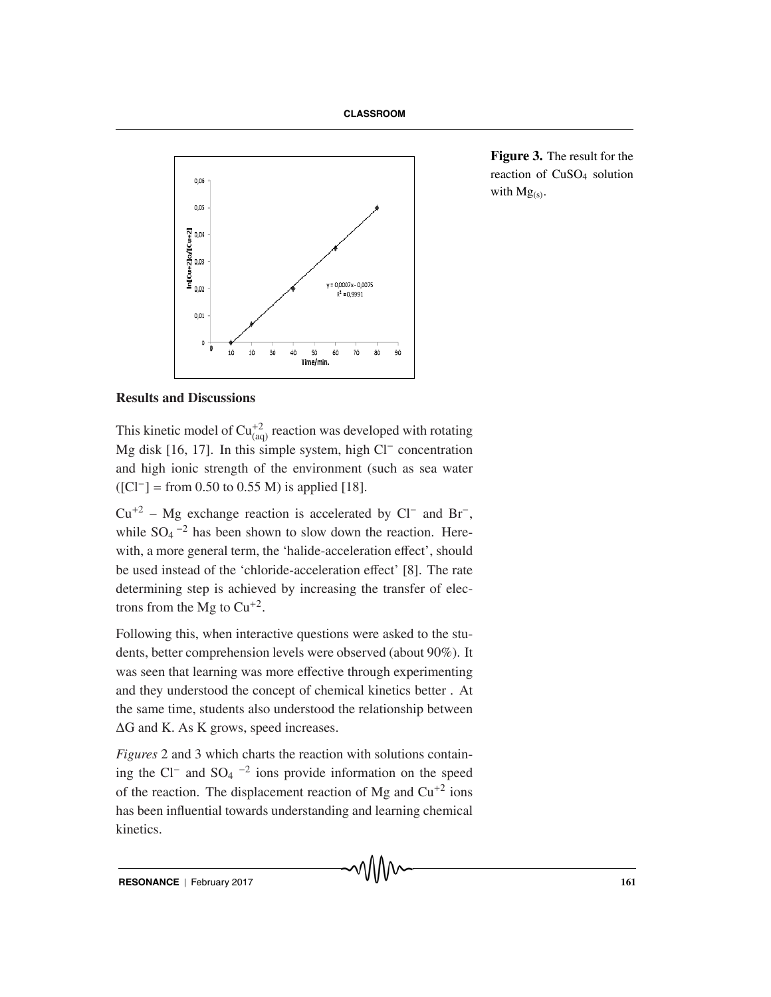

**Figure 3.** The result for the reaction of CuSO4 solution with  $Mg_{(s)}$ .

## **Results and Discussions**

This kinetic model of  $Cu_{(aq)}^{+2}$  reaction was developed with rotating Mg disk [16, 17]. In this simple system, high Cl− concentration and high ionic strength of the environment (such as sea water  $([Cl^-] =$  from 0.50 to 0.55 M) is applied [18].

 $Cu^{+2}$  – Mg exchange reaction is accelerated by Cl<sup>−</sup> and Br<sup>−</sup>, while  $SO_4$ <sup>-2</sup> has been shown to slow down the reaction. Herewith, a more general term, the 'halide-acceleration effect', should be used instead of the 'chloride-acceleration effect' [8]. The rate determining step is achieved by increasing the transfer of electrons from the Mg to  $Cu^{+2}$ .

Following this, when interactive questions were asked to the students, better comprehension levels were observed (about 90%). It was seen that learning was more effective through experimenting and they understood the concept of chemical kinetics better . At the same time, students also understood the relationship between ΔG and K. As K grows, speed increases.

*Figures* 2 and 3 which charts the reaction with solutions containing the Cl<sup>−</sup> and SO<sub>4</sub> <sup>-2</sup> ions provide information on the speed of the reaction. The displacement reaction of Mg and  $Cu^{+2}$  ions has been influential towards understanding and learning chemical kinetics.